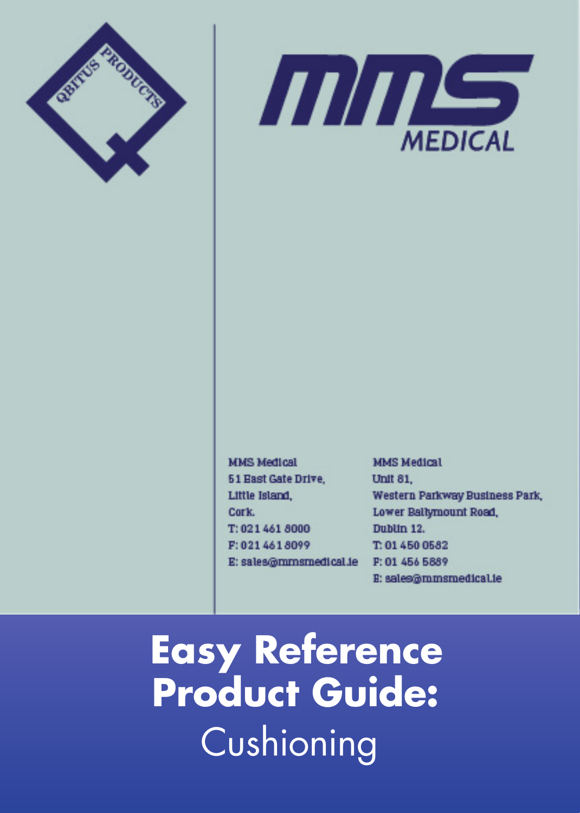



**MMS Medical 51 East Gate Drive.** Little Island, Cork. T: 021 461 8000 F: 021 461 8099 E: sales@mmsmedical.ie **MMS Medical** Unit 81. Western Parkway Business Park, Lower Ballymount Road, Dublin 12. T: 01 450 0582 P: 01 456 5889 E: sales@mmsmedical.ie

**Easy Reference Product Guide:** Cushioning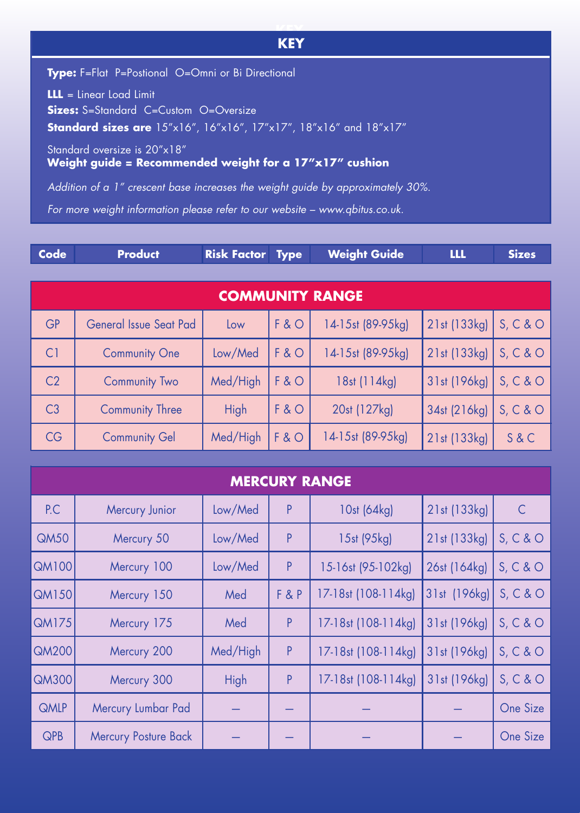## **KEY KEY**

**Type:** F=Flat P=Postional O=Omni or Bi Directional

**LLL** = Linear Load Limit **Sizes:** S=Standard C=Custom O=Oversize

**Standard sizes are** 15"x16", 16"x16", 17"x17", 18"x16" and 18"x17"

Standard oversize is 20"x18"

**Weight guide = Recommended weight for a 17"x17" cushion**

*Addition of a 1" crescent base increases the weight guide by approximately 30%.*

*For more weight information please refer to our website – www.qbitus.co.uk.*

| <b>COMMUNITY RANGE</b> |                               |          |     |                   |              |          |  |
|------------------------|-------------------------------|----------|-----|-------------------|--------------|----------|--|
| <b>GP</b>              | <b>General Issue Seat Pad</b> | Low      | F&O | 14-15st (89-95kg) | 21st (133kg) | S, C & O |  |
| C <sub>1</sub>         | <b>Community One</b>          | Low/Med  | F&O | 14-15st (89-95kg) | 21st (133kg) | S, C & O |  |
| C <sub>2</sub>         | <b>Community Two</b>          | Med/High | F&O | 18st (114kg)      | 31st (196kg) | S, C & O |  |
| C <sub>3</sub>         | <b>Community Three</b>        | High     | F&O | 20st (127kg)      | 34st (216kg) | S, C & O |  |
| CG                     | <b>Community Gel</b>          | Med/High | F&O | 14-15st (89-95kg) | 21st (133kg) | S & C    |  |

| <b>MERCURY RANGE</b> |                             |          |       |                     |              |              |  |
|----------------------|-----------------------------|----------|-------|---------------------|--------------|--------------|--|
| P.C                  | Mercury Junior              | Low/Med  | P     | 10st (64kg)         | 21st (133kg) | $\mathsf{C}$ |  |
| QM50                 | Mercury 50                  | Low/Med  | P     | 15st (95kg)         | 21st (133kg) | S, C & O     |  |
| <b>QM100</b>         | Mercury 100                 | Low/Med  | P     | 15-16st (95-102kg)  | 26st (164kg) | S, C & O     |  |
| <b>QM150</b>         | Mercury 150                 | Med      | F & P | 17-18st (108-114kg) | 31st (196kg) | S, C & O     |  |
| <b>QM175</b>         | Mercury 175                 | Med      | P     | 17-18st (108-114kg) | 31st (196kg) | S, C & O     |  |
| <b>QM200</b>         | Mercury 200                 | Med/High | P     | 17-18st (108-114kg) | 31st (196kg) | S, C & O     |  |
| <b>QM300</b>         | Mercury 300                 | High     | P     | 17-18st (108-114kg) | 31st (196kg) | S, C & O     |  |
| <b>QMLP</b>          | Mercury Lumbar Pad          |          |       |                     |              | One Size     |  |
| <b>QPB</b>           | <b>Mercury Posture Back</b> |          |       |                     |              | One Size     |  |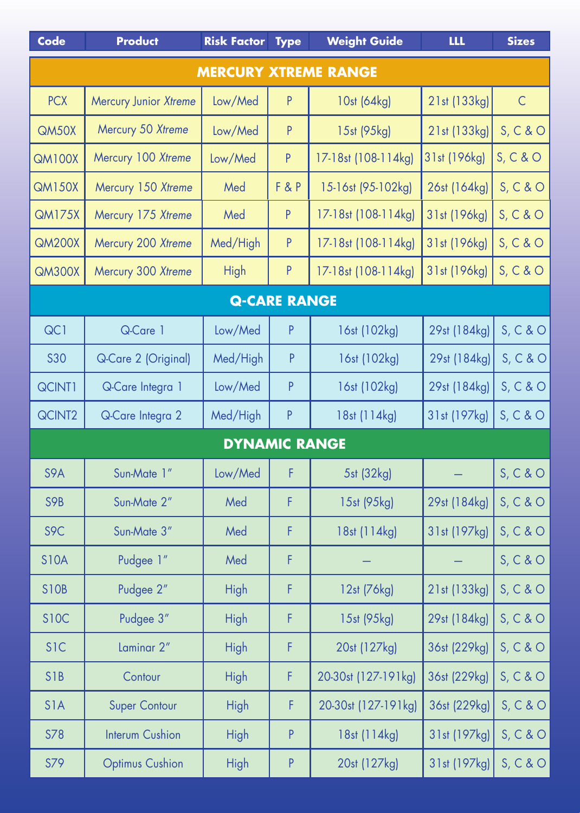| Code                        | <b>Product</b>         | <b>Risk Factor</b>   | <b>Type</b>         | <b>Weight Guide</b> | <b>LLL</b>   | <b>Sizes</b> |  |  |
|-----------------------------|------------------------|----------------------|---------------------|---------------------|--------------|--------------|--|--|
| <b>MERCURY XTREME RANGE</b> |                        |                      |                     |                     |              |              |  |  |
| <b>PCX</b>                  | Mercury Junior Xtreme  | Low/Med              | P                   | 10st (64kg)         | 21st (133kg) | $\mathsf C$  |  |  |
| QM50X                       | Mercury 50 Xtreme      | Low/Med              | P                   | 15st (95kg)         | 21st (133kg) | S, C & O     |  |  |
| <b>QM100X</b>               | Mercury 100 Xtreme     | Low/Med              | P                   | 17-18st (108-114kg) | 31st (196kg) | S, C & O     |  |  |
| <b>QM150X</b>               | Mercury 150 Xtreme     | Med                  | F & P               | 15-16st (95-102kg)  | 26st (164kg) | S, C & O     |  |  |
| <b>QM175X</b>               | Mercury 175 Xtreme     | Med                  | P                   | 17-18st (108-114kg) | 31st (196kg) | S, C & O     |  |  |
| <b>QM200X</b>               | Mercury 200 Xtreme     | Med/High             | $\sf P$             | 17-18st (108-114kg) | 31st (196kg) | S, C & O     |  |  |
| <b>QM300X</b>               | Mercury 300 Xtreme     | <b>High</b>          | $\sf P$             | 17-18st (108-114kg) | 31st (196kg) | S, C & O     |  |  |
|                             |                        |                      | <b>Q-CARE RANGE</b> |                     |              |              |  |  |
| QC1                         | Q-Care 1               | Low/Med              | P                   | 16st (102kg)        | 29st (184kg) | S, C & O     |  |  |
| <b>S30</b>                  | Q-Care 2 (Original)    | Med/High             | P                   | 16st (102kg)        | 29st (184kg) | S, C & O     |  |  |
| QCINT1                      | Q-Care Integra 1       | Low/Med              | P                   | 16st (102kg)        | 29st (184kg) | S, C & O     |  |  |
| QCINT2                      | Q-Care Integra 2       | Med/High             | P                   | 18st (114kg)        | 31st (197kg) | S, C & O     |  |  |
|                             |                        | <b>DYNAMIC RANGE</b> |                     |                     |              |              |  |  |
| S9A                         | Sun-Mate 1"            | Low/Med              | F                   | 5st (32kg)          |              | S, C & O     |  |  |
| S9B                         | Sun-Mate 2"            | Med                  | F                   | 15st (95kg)         | 29st (184kg) | S, C & O     |  |  |
| S9C                         | Sun-Mate 3"            | Med                  | F                   | 18st (114kg)        | 31st (197kg) | S, C & O     |  |  |
| <b>S10A</b>                 | Pudgee 1"              | Med                  | F                   |                     |              | S, C & O     |  |  |
| <b>S10B</b>                 | Pudgee 2"              | <b>High</b>          | F                   | 12st (76kg)         | 21st (133kg) | S, C & O     |  |  |
| <b>S10C</b>                 | Pudgee 3"              | <b>High</b>          | F                   | 15st (95kg)         | 29st (184kg) | S, C & O     |  |  |
| <b>SIC</b>                  | Laminar 2"             | <b>High</b>          | F                   | 20st (127kg)        | 36st (229kg) | S, C & O     |  |  |
| <b>S1B</b>                  | Contour                | <b>High</b>          | F                   | 20-30st (127-191kg) | 36st (229kg) | S, C & O     |  |  |
| S <sub>1</sub> A            | <b>Super Contour</b>   | High                 | F                   | 20-30st (127-191kg) | 36st (229kg) | S, C & O     |  |  |
| S78                         | <b>Interum Cushion</b> | High                 | P                   | 18st (114kg)        | 31st (197kg) | S, C & O     |  |  |
| S79                         | <b>Optimus Cushion</b> | <b>High</b>          | $\sf P$             | 20st (127kg)        | 31st (197kg) | S, C & O     |  |  |